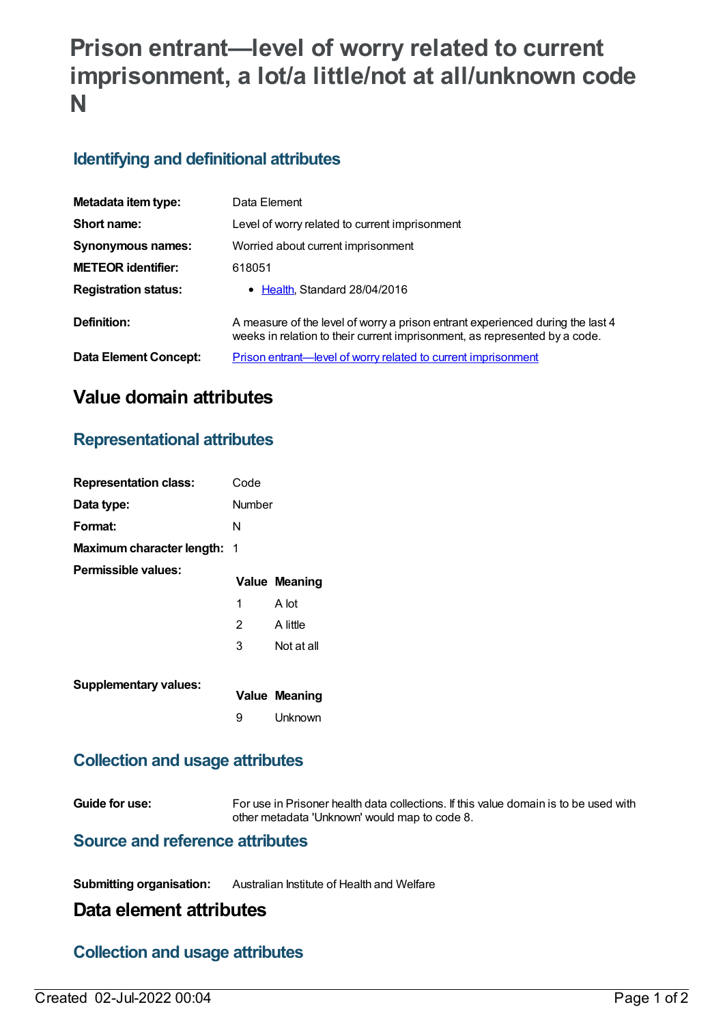# **Prison entrant—level of worry related to current imprisonment, a lot/a little/not at all/unknown code N**

# **Identifying and definitional attributes**

| Metadata item type:         | Data Element                                                                                                                                                 |
|-----------------------------|--------------------------------------------------------------------------------------------------------------------------------------------------------------|
| Short name:                 | Level of worry related to current imprisonment                                                                                                               |
| <b>Synonymous names:</b>    | Worried about current imprisonment                                                                                                                           |
| <b>METEOR identifier:</b>   | 618051                                                                                                                                                       |
| <b>Registration status:</b> | • Health, Standard 28/04/2016                                                                                                                                |
| Definition:                 | A measure of the level of worry a prison entrant experienced during the last 4<br>weeks in relation to their current imprisonment, as represented by a code. |
| Data Element Concept:       | <b>Prison entrant—level of worry related to current imprisonment</b>                                                                                         |

# **Value domain attributes**

# **Representational attributes**

| <b>Representation class:</b>       | Code   |                      |
|------------------------------------|--------|----------------------|
| Data type:                         | Number |                      |
| Format:                            | N      |                      |
| <b>Maximum character length: 1</b> |        |                      |
| Permissible values:                |        | <b>Value Meaning</b> |
|                                    | 1      | A lot                |
|                                    | 2      | A little             |
|                                    | 3      | Not at all           |
|                                    |        |                      |
| <b>Supplementary values:</b>       |        | <b>Value Meaning</b> |
|                                    | 9      | Unknown              |

#### **Collection and usage attributes**

**Guide for use:** For use in Prisoner health data collections. If this value domain is to be used with other metadata 'Unknown' would map to code 8.

#### **Source and reference attributes**

**Submitting organisation:** Australian Institute of Health and Welfare

# **Data element attributes**

# **Collection and usage attributes**